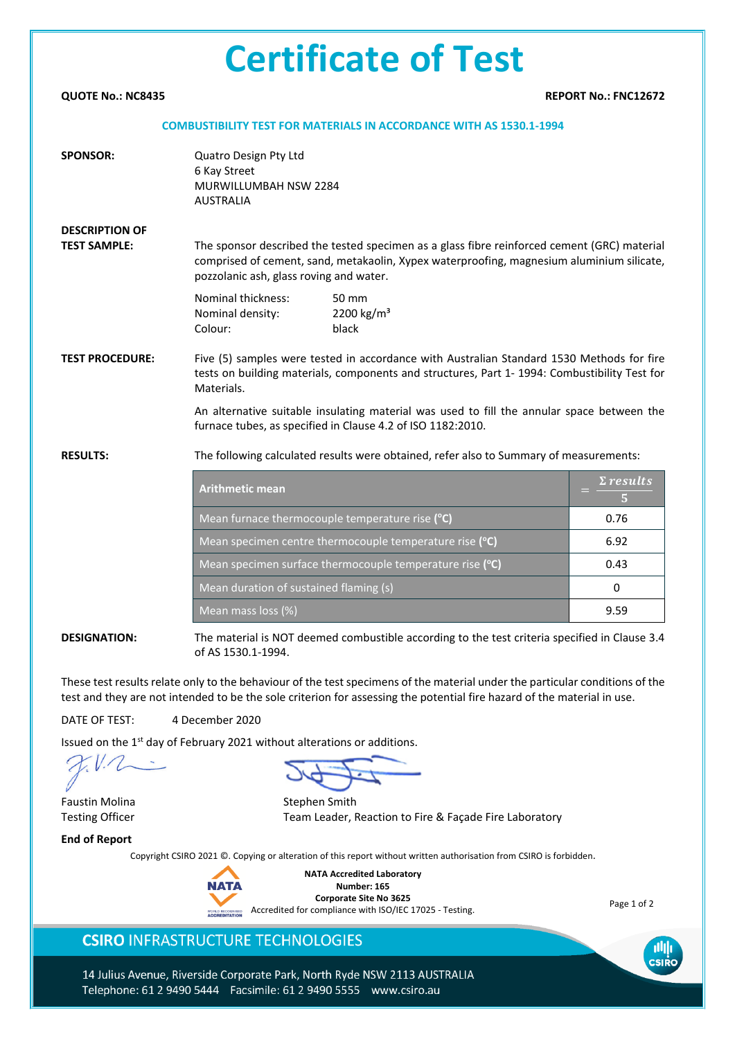# **Certificate of Test**

**QUOTE No.: NC8435 REPORT No.: FNC12672**

#### **COMBUSTIBILITY TEST FOR MATERIALS IN ACCORDANCE WITH AS 1530.1-1994**

| <b>SPONSOR:</b>                              | Quatro Design Pty Ltd<br>6 Kay Street<br>MURWILLUMBAH NSW 2284<br><b>AUSTRALIA</b>                                                                                                                                                  |                                                                                  |                   |  |  |  |  |  |
|----------------------------------------------|-------------------------------------------------------------------------------------------------------------------------------------------------------------------------------------------------------------------------------------|----------------------------------------------------------------------------------|-------------------|--|--|--|--|--|
| <b>DESCRIPTION OF</b><br><b>TEST SAMPLE:</b> | The sponsor described the tested specimen as a glass fibre reinforced cement (GRC) material<br>comprised of cement, sand, metakaolin, Xypex waterproofing, magnesium aluminium silicate,<br>pozzolanic ash, glass roving and water. |                                                                                  |                   |  |  |  |  |  |
|                                              | Nominal thickness:<br>Nominal density:<br>Colour:                                                                                                                                                                                   | 50 mm<br>2200 kg/m <sup>3</sup><br>black                                         |                   |  |  |  |  |  |
| <b>TEST PROCEDURE:</b>                       | Five (5) samples were tested in accordance with Australian Standard 1530 Methods for fire<br>tests on building materials, components and structures, Part 1- 1994: Combustibility Test for<br>Materials.                            |                                                                                  |                   |  |  |  |  |  |
|                                              | An alternative suitable insulating material was used to fill the annular space between the<br>furnace tubes, as specified in Clause 4.2 of ISO 1182:2010.                                                                           |                                                                                  |                   |  |  |  |  |  |
| <b>RESULTS:</b>                              | The following calculated results were obtained, refer also to Summary of measurements:                                                                                                                                              |                                                                                  |                   |  |  |  |  |  |
|                                              | <b>Arithmetic mean</b>                                                                                                                                                                                                              | $\Sigma$ results                                                                 |                   |  |  |  |  |  |
|                                              |                                                                                                                                                                                                                                     | Mean furnace thermocouple temperature rise (°C)                                  | 0.76              |  |  |  |  |  |
|                                              | Mean specimen centre thermocouple temperature rise (°C)                                                                                                                                                                             | 6.92                                                                             |                   |  |  |  |  |  |
|                                              | 0.43                                                                                                                                                                                                                                |                                                                                  |                   |  |  |  |  |  |
|                                              | Mean duration of sustained flaming (s)                                                                                                                                                                                              | $\Omega$                                                                         |                   |  |  |  |  |  |
|                                              | Mean mass loss (%)                                                                                                                                                                                                                  | 9.59                                                                             |                   |  |  |  |  |  |
| <b>FCICNIATIO</b>                            |                                                                                                                                                                                                                                     | is a montradiction NOT decrees of distributible conception to the total original | ومنتمات والممتلئة |  |  |  |  |  |

**DESIGNATION:** The material is NOT deemed combustible according to the test criteria specified in Clause 3.4 of AS 1530.1-1994.

These test results relate only to the behaviour of the test specimens of the material under the particular conditions of the test and they are not intended to be the sole criterion for assessing the potential fire hazard of the material in use.

DATE OF TEST: 4 December 2020

Issued on the 1<sup>st</sup> day of February 2021 without alterations or additions.

Faustin Molina **Stephen Smith** 

Testing Officer Team Leader, Reaction to Fire & Façade Fire Laboratory

**End of Report**

Copyright CSIRO 2021 ©. Copying or alteration of this report without written authorisation from CSIRO is forbidden.



**NATA Accredited Laboratory Number: 165 Corporate Site No 3625** WORLD RECOGNISED Accredited for compliance with ISO/IEC 17025 - Testing.

Page 1 of 2

csiro

### **CSIRO INFRASTRUCTURE TECHNOLOGIES**

14 Julius Avenue, Riverside Corporate Park, North Ryde NSW 2113 AUSTRALIA Telephone: 61 2 9490 5444 Facsimile: 61 2 9490 5555 www.csiro.au